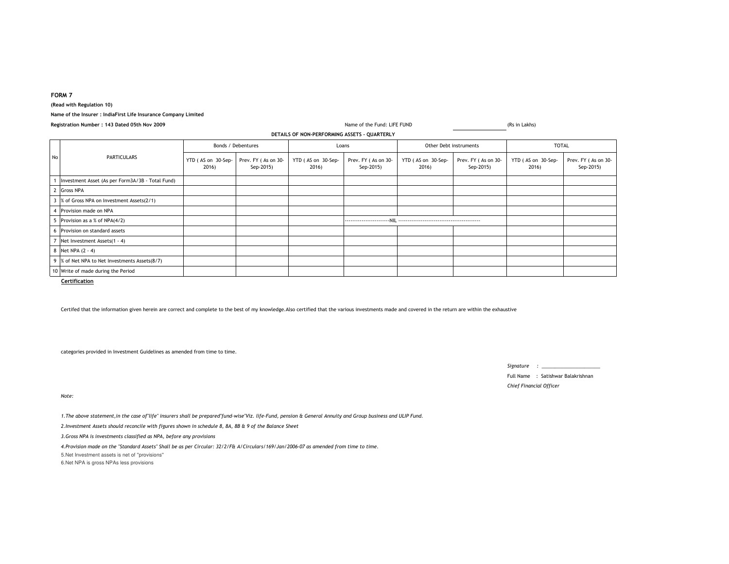## **FORM 7**

**(Read with Regulation 10)**

### **Name of the Insurer : IndiaFirst Life Insurance Company Limited**

|  | Registration Number : 143 Dated 05th Nov 2009 |
|--|-----------------------------------------------|
|--|-----------------------------------------------|

|    | DETAILS OF NON-PERFORMING ASSETS - QUARTERLY     |                             |                                  |                             |                                  |                             |                                  |                             |                                  |
|----|--------------------------------------------------|-----------------------------|----------------------------------|-----------------------------|----------------------------------|-----------------------------|----------------------------------|-----------------------------|----------------------------------|
| No | <b>PARTICULARS</b>                               | Bonds / Debentures          |                                  | Loans                       |                                  | Other Debt instruments      |                                  | <b>TOTAL</b>                |                                  |
|    |                                                  | YTD (AS on 30-Sep-<br>2016) | Prev. FY (As on 30-<br>Sep-2015) | YTD (AS on 30-Sep-<br>2016) | Prev. FY (As on 30-<br>Sep-2015) | YTD (AS on 30-Sep-<br>2016) | Prev. FY (As on 30-<br>Sep-2015) | YTD (AS on 30-Sep-<br>2016) | Prev. FY (As on 30-<br>Sep-2015) |
|    | Investment Asset (As per Form3A/3B - Total Fund) |                             |                                  |                             |                                  |                             |                                  |                             |                                  |
|    | <b>Gross NPA</b>                                 |                             |                                  |                             |                                  |                             |                                  |                             |                                  |
|    | % of Gross NPA on Investment Assets(2/1)         |                             |                                  |                             |                                  |                             |                                  |                             |                                  |
|    | Provision made on NPA                            |                             |                                  |                             |                                  |                             |                                  |                             |                                  |
|    | Provision as a % of NPA(4/2)                     |                             |                                  |                             | ------------------------NII      |                             |                                  |                             |                                  |
| 6  | Provision on standard assets                     |                             |                                  |                             |                                  |                             |                                  |                             |                                  |
|    | Net Investment Assets(1 - 4)                     |                             |                                  |                             |                                  |                             |                                  |                             |                                  |
|    | 8 Net NPA (2 - 4)                                |                             |                                  |                             |                                  |                             |                                  |                             |                                  |
| 9  | % of Net NPA to Net Investments Assets(8/7)      |                             |                                  |                             |                                  |                             |                                  |                             |                                  |
|    | 10 Write of made during the Period               |                             |                                  |                             |                                  |                             |                                  |                             |                                  |

Name of the Fund: LIFE FUND

**Certification**

Certifed that the information given herein are correct and complete to the best of my knowledge.Also certified that the various investments made and covered in the return are within the exhaustive

categories provided in Investment Guidelines as amended from time to time.

*Signature : \_\_\_\_\_\_\_\_\_\_\_\_\_\_\_\_\_\_\_\_\_\_*

Full Name : Satishwar Balakrishnan*Chief Financial Officer*

(Rs in Lakhs)

*Note:*

*1.The above statement,in the case of"life" insurers shall be prepared"fund-wise"Viz. life-Fund, pension & General Annuity and Group business and ULIP Fund.*

*2.Investment Assets should reconcile with figures shown in schedule 8, 8A, 8B & 9 of the Balance Sheet*

*3.Gross NPA is investments classified as NPA, before any provisions*

*4.Provision made on the "Standard Assets" Shall be as per Circular: 32/2/F& A/Circulars/169/Jan/2006-07 as amended from time to time.*

5.Net Investment assets is net of ''provisions''

6.Net NPA is gross NPAs less provisions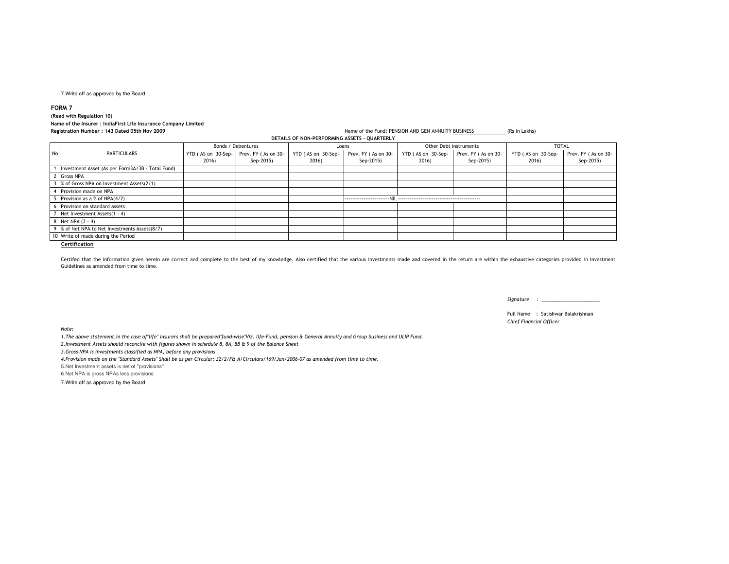## 7.Write off as approved by the Board

**FORM 7**

**(Read with Regulation 10)**

# **Name of the Insurer : IndiaFirst Life Insurance Company Limited**

|    | Registration Number: 143 Dated 05th Nov 2009     | Name of the Fund: PENSION AND GEN ANNUITY BUSINESS<br>(Rs in Lakhs) |                                  |                             |                                  |                             |                                  |                             |                                  |  |
|----|--------------------------------------------------|---------------------------------------------------------------------|----------------------------------|-----------------------------|----------------------------------|-----------------------------|----------------------------------|-----------------------------|----------------------------------|--|
|    | DETAILS OF NON-PERFORMING ASSETS - OUARTERLY     |                                                                     |                                  |                             |                                  |                             |                                  |                             |                                  |  |
|    | <b>PARTICULARS</b>                               | Bonds / Debentures                                                  |                                  | Loans                       |                                  | Other Debt instruments      |                                  | <b>TOTAL</b>                |                                  |  |
| No |                                                  | YTD (AS on 30-Sep-<br>2016)                                         | Prev. FY (As on 30-<br>Sep-2015) | YTD (AS on 30-Sep-<br>2016) | Prev. FY (As on 30-<br>Sep-2015) | YTD (AS on 30-Sep-<br>2016) | Prev. FY (As on 30-<br>Sep-2015) | YTD (AS on 30-Sep-<br>2016) | Prev. FY (As on 30-<br>Sep-2015) |  |
|    | Investment Asset (As per Form3A/3B - Total Fund) |                                                                     |                                  |                             |                                  |                             |                                  |                             |                                  |  |
|    | <b>Gross NPA</b>                                 |                                                                     |                                  |                             |                                  |                             |                                  |                             |                                  |  |
|    | % of Gross NPA on Investment Assets(2/1)         |                                                                     |                                  |                             |                                  |                             |                                  |                             |                                  |  |
|    | Provision made on NPA                            |                                                                     |                                  |                             |                                  |                             |                                  |                             |                                  |  |
|    | Provision as a % of NPA(4/2)                     |                                                                     |                                  |                             |                                  |                             |                                  |                             |                                  |  |
|    | Provision on standard assets                     |                                                                     |                                  |                             |                                  |                             |                                  |                             |                                  |  |
|    | Net Investment Assets(1 - 4)                     |                                                                     |                                  |                             |                                  |                             |                                  |                             |                                  |  |
|    | Net NPA $(2 - 4)$                                |                                                                     |                                  |                             |                                  |                             |                                  |                             |                                  |  |
|    | % of Net NPA to Net Investments Assets(8/7)      |                                                                     |                                  |                             |                                  |                             |                                  |                             |                                  |  |
|    | 10 Write of made during the Period               |                                                                     |                                  |                             |                                  |                             |                                  |                             |                                  |  |
|    | Certification                                    |                                                                     |                                  |                             |                                  |                             |                                  |                             |                                  |  |

Certifed that the information given herein are correct and complete to the best of my knowledge. Also certified that the various investments made and covered in the return are within the exhaustive categories provided in I Guidelines as amended from time to time.

*Signature : \_\_\_\_\_\_\_\_\_\_\_\_\_\_\_\_\_\_\_\_\_\_*

Full Name : Satishwar Balakrishnan*Chief Financial Officer*

*Note:*

*1.The above statement,in the case of"life" insurers shall be prepared"fund-wise"Viz. life-Fund, pension & General Annuity and Group business and ULIP Fund.*

*2.Investment Assets should reconcile with figures shown in schedule 8, 8A, 8B & 9 of the Balance Sheet*

*3.Gross NPA is investments classified as NPA, before any provisions*

*4.Provision made on the "Standard Assets" Shall be as per Circular: 32/2/F& A/Circulars/169/Jan/2006-07 as amended from time to time.*

5.Net Investment assets is net of ''provisions''

6.Net NPA is gross NPAs less provisions

7.Write off as approved by the Board